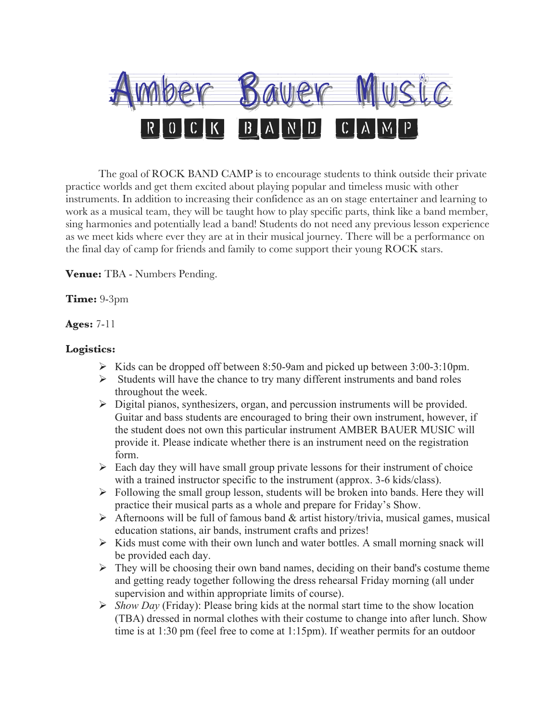

The goal of ROCK BAND CAMP is to encourage students to think outside their private practice worlds and get them excited about playing popular and timeless music with other instruments. In addition to increasing their confidence as an on stage entertainer and learning to work as a musical team, they will be taught how to play specific parts, think like a band member, sing harmonies and potentially lead a band! Students do not need any previous lesson experience as we meet kids where ever they are at in their musical journey. There will be a performance on the final day of camp for friends and family to come support their young ROCK stars.

**Venue:** TBA - Numbers Pending.

## **Time:** 9-3pm

## **Ages:** 7-11

## **Logistics:**

- $\triangleright$  Kids can be dropped off between 8:50-9am and picked up between 3:00-3:10pm.
- $\triangleright$  Students will have the chance to try many different instruments and band roles throughout the week.
- $\triangleright$  Digital pianos, synthesizers, organ, and percussion instruments will be provided. Guitar and bass students are encouraged to bring their own instrument, however, if the student does not own this particular instrument AMBER BAUER MUSIC will provide it. Please indicate whether there is an instrument need on the registration form.
- $\triangleright$  Each day they will have small group private lessons for their instrument of choice with a trained instructor specific to the instrument (approx. 3-6 kids/class).
- $\triangleright$  Following the small group lesson, students will be broken into bands. Here they will practice their musical parts as a whole and prepare for Friday's Show.
- $\triangleright$  Afternoons will be full of famous band & artist history/trivia, musical games, musical education stations, air bands, instrument crafts and prizes!
- $\triangleright$  Kids must come with their own lunch and water bottles. A small morning snack will be provided each day.
- $\triangleright$  They will be choosing their own band names, deciding on their band's costume theme and getting ready together following the dress rehearsal Friday morning (all under supervision and within appropriate limits of course).
- Ø *Show Day* (Friday): Please bring kids at the normal start time to the show location (TBA) dressed in normal clothes with their costume to change into after lunch. Show time is at 1:30 pm (feel free to come at 1:15pm). If weather permits for an outdoor